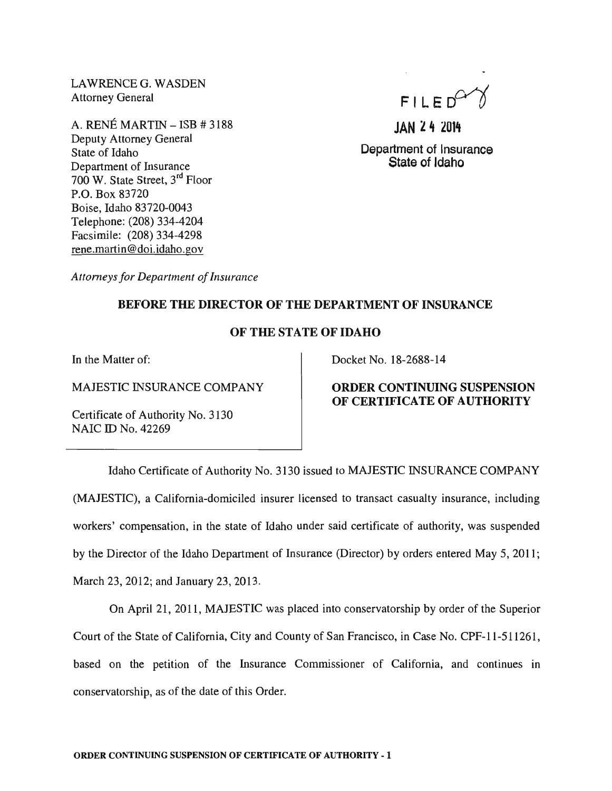LAWRENCEG. WASDEN Attorney General

A. RENÉ MARTIN  $-$  ISB  $\#$  3188 Deputy Attorney General State of Idaho Department of Insurance 700 W. State Street, 3rd Floor P.O. Box 83720 Boise, Idaho 83720-0043 Telephone: (208) 334-4204 Facsimile: (208) 334-4298 rene.martin@doi.idaho.gov

 $FILED<sup>Cr</sup>$ 

JAN 24 2014

Department of Insurance State of Idaho

*Attorneys for Department of Insurance* 

## BEFORE THE DIRECTOR OF THE DEPARTMENT OF INSURANCE

## OF THE STATE OF IDAHO

In the Matter of:

MAJESTIC INSURANCE COMPANY

Certificate of Authority No. 3130 NAIC ID No. 42269

#### Docket No. 18-2688-14

# ORDER CONTINUING SUSPENSION OF CERTIFICATE OF AUTHORITY

Idaho Certificate of Authority No. 3130 issued to MAJESTIC INSURANCE COMPANY (MAJESTIC), a California-domiciled insurer licensed to transact casualty insurance, including workers' compensation, in the state of Idaho under said certificate of authority, was suspended by the Director of the Idaho Department of Insurance (Director) by orders entered May 5, 2011; March 23, 2012; and January 23,2013.

On April 21, 2011, MAJESTIC was placed into conservatorship by order of the Superior Court of the State of California, City and County of San Francisco, in Case No. CPF-II-511261, based on the petition of the Insurance Commissioner of California, and continues in conservatorship, as of the date of this Order.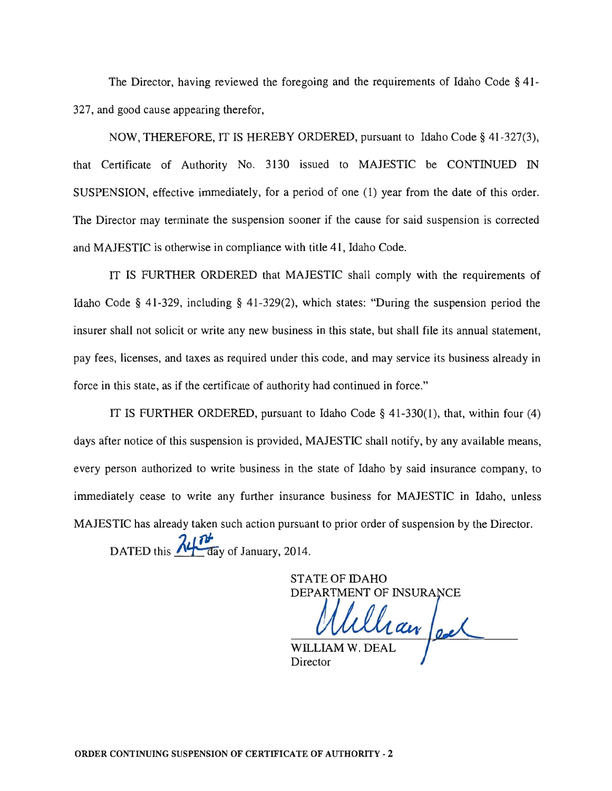The Director, having reviewed the foregoing and the requirements of Idaho Code § 41-327, and good cause appearing therefor,

NOW, THEREFORE, IT IS HEREBY ORDERED, pursuant to Idaho Code § 41-327(3), that Certificate of Authority No. 3130 issued to MAJESTIC be CONTINUED IN SUSPENSION, effective immediately, for a period of one (1) year from the date of this order. The Director may terminate the suspension sooner if the cause for said suspension is corrected and MAJESTIC is otherwise in compliance with title 41, Idaho Code.

IT IS FURTHER ORDERED that MAJESTIC shall comply with the requirements of Idaho Code § 41-329, including § 41 -329(2), which states: "During the suspension period the insurer shall not solicit or write any new business in this state, but shall file its annual statement, pay fees, licenses, and taxes as required under this code, and may service its business already in force in this state, as if the certificate of authority had continued in force."

IT IS FURTHER ORDERED, pursuant to Idaho Code § 41-330(1), that, within four (4) days after notice of this suspension is provided, MAJESTIC shall notify, by any available means, every person authorized to write business in the state of Idaho by said insurance company, to immediately cease to write any further insurance business for MAJESTIC in Idaho, unless MAJESTIC has already taken such action pursuant to prior order of suspension by the Director. DATED this  $\frac{\lambda}{\sqrt{d}}$  day of January, 2014.

> STATE OF IDAHO DEPARTMENT OF INSURA

Chan feel WILLIAM W. DEAI Director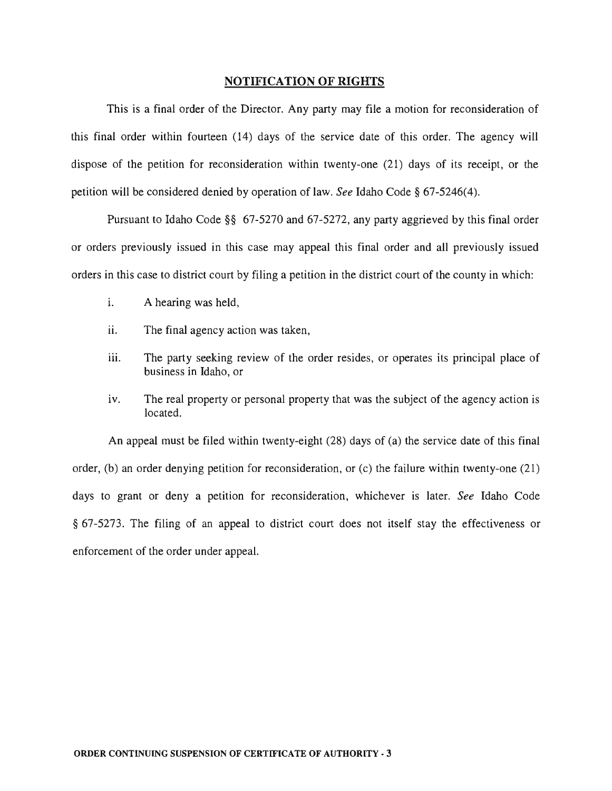### NOTIFICATION OF RIGHTS

This is a final order of the Director. Any party may file a motion for reconsideration of this final order within fourteen (14) days of the service date of this order. The agency will dispose of the petition for reconsideration within twenty-one (21) days of its receipt, or the petition will be considered denied by operation of law. *See* Idaho Code § 67-5246(4).

Pursuant to Idaho Code §§ 67-5270 and 67-5272, any party aggrieved by this final order or orders previously issued in this case may appeal this final order and all previously issued orders in this case to district court by filing a petition in the district court of the county in which:

- i. A hearing was held,
- ii. The final agency action was taken,
- iii. The party seeking review of the order resides, or operates its principal place of business in Idaho, or
- iv. The real property or personal property that was the subject of the agency action is located.

An appeal must be filed within twenty-eight (28) days of (a) the service date of this final order, (b) an order denying petition for reconsideration, or (c) the failure within twenty-one (21) days to grant or deny a petition for reconsideration, whichever is later. *See* Idaho Code § 67-5273. The filing of an appeal to district court does not itself stay the effectiveness or enforcement of the order under appeal.